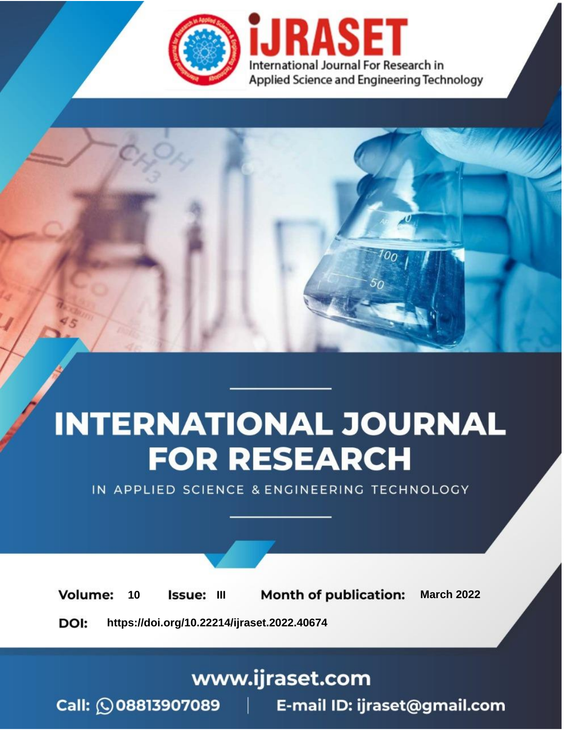

# **INTERNATIONAL JOURNAL FOR RESEARCH**

IN APPLIED SCIENCE & ENGINEERING TECHNOLOGY

**Month of publication: Volume:** 10 **Issue: III March 2022** DOI: https://doi.org/10.22214/ijraset.2022.40674

www.ijraset.com

Call: 008813907089 | E-mail ID: ijraset@gmail.com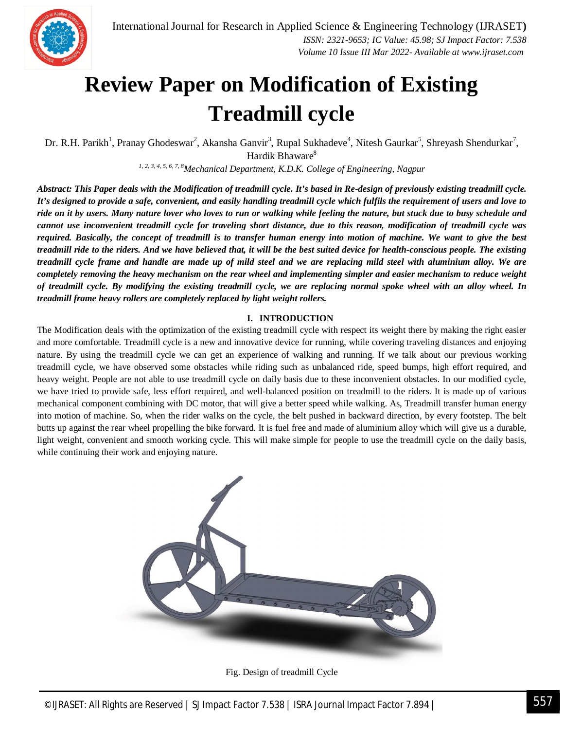

### **Review Paper on Modification of Existing Treadmill cycle**

Dr. R.H. Parikh<sup>1</sup>, Pranay Ghodeswar<sup>2</sup>, Akansha Ganvir<sup>3</sup>, Rupal Sukhadeve<sup>4</sup>, Nitesh Gaurkar<sup>5</sup>, Shreyash Shendurkar<sup>7</sup>, Hardik Bhaware<sup>8</sup>

*1, 2, 3, 4, 5, 6, 7, 8Mechanical Department, K.D.K. College of Engineering, Nagpur*

*Abstract: This Paper deals with the Modification of treadmill cycle. It's based in Re-design of previously existing treadmill cycle. It's designed to provide a safe, convenient, and easily handling treadmill cycle which fulfils the requirement of users and love to ride on it by users. Many nature lover who loves to run or walking while feeling the nature, but stuck due to busy schedule and cannot use inconvenient treadmill cycle for traveling short distance, due to this reason, modification of treadmill cycle was required. Basically, the concept of treadmill is to transfer human energy into motion of machine. We want to give the best treadmill ride to the riders. And we have believed that, it will be the best suited device for health-conscious people. The existing treadmill cycle frame and handle are made up of mild steel and we are replacing mild steel with aluminium alloy. We are completely removing the heavy mechanism on the rear wheel and implementing simpler and easier mechanism to reduce weight of treadmill cycle. By modifying the existing treadmill cycle, we are replacing normal spoke wheel with an alloy wheel. In treadmill frame heavy rollers are completely replaced by light weight rollers.*

#### **I. INTRODUCTION**

The Modification deals with the optimization of the existing treadmill cycle with respect its weight there by making the right easier and more comfortable. Treadmill cycle is a new and innovative device for running, while covering traveling distances and enjoying nature. By using the treadmill cycle we can get an experience of walking and running. If we talk about our previous working treadmill cycle, we have observed some obstacles while riding such as unbalanced ride, speed bumps, high effort required, and heavy weight. People are not able to use treadmill cycle on daily basis due to these inconvenient obstacles. In our modified cycle, we have tried to provide safe, less effort required, and well-balanced position on treadmill to the riders. It is made up of various mechanical component combining with DC motor, that will give a better speed while walking. As, Treadmill transfer human energy into motion of machine. So, when the rider walks on the cycle, the belt pushed in backward direction, by every footstep. The belt butts up against the rear wheel propelling the bike forward. It is fuel free and made of aluminium alloy which will give us a durable, light weight, convenient and smooth working cycle. This will make simple for people to use the treadmill cycle on the daily basis, while continuing their work and enjoying nature.



Fig. Design of treadmill Cycle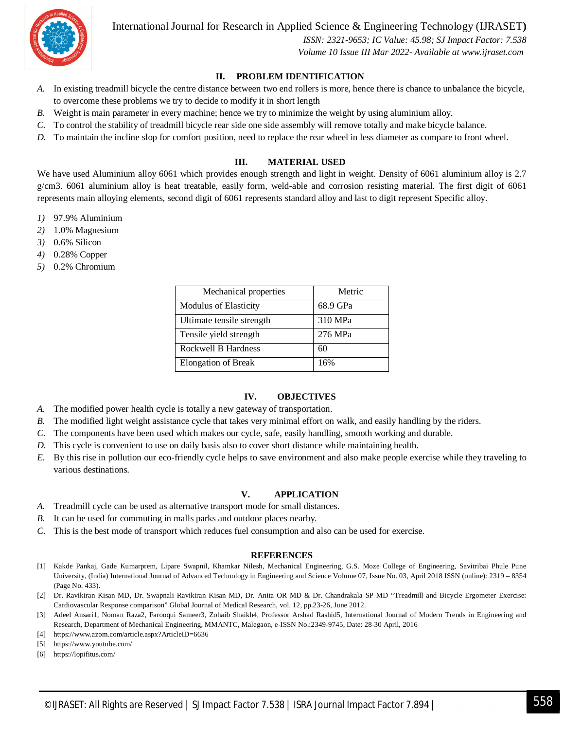

International Journal for Research in Applied Science & Engineering Technology (IJRASET**)**

 *ISSN: 2321-9653; IC Value: 45.98; SJ Impact Factor: 7.538 Volume 10 Issue III Mar 2022- Available at www.ijraset.com*

#### **II. PROBLEM IDENTIFICATION**

- *A.* In existing treadmill bicycle the centre distance between two end rollers is more, hence there is chance to unbalance the bicycle, to overcome these problems we try to decide to modify it in short length
- *B.* Weight is main parameter in every machine; hence we try to minimize the weight by using aluminium alloy.
- *C.* To control the stability of treadmill bicycle rear side one side assembly will remove totally and make bicycle balance.
- *D.* To maintain the incline slop for comfort position, need to replace the rear wheel in less diameter as compare to front wheel.

#### **III. MATERIAL USED**

We have used Aluminium alloy 6061 which provides enough strength and light in weight. Density of 6061 aluminium alloy is 2.7 g/cm3. 6061 aluminium alloy is heat treatable, easily form, weld-able and corrosion resisting material. The first digit of 6061 represents main alloying elements, second digit of 6061 represents standard alloy and last to digit represent Specific alloy.

- *1)* 97.9% Aluminium
- *2)* 1.0% Magnesium
- *3)* 0.6% Silicon
- *4)* 0.28% Copper
- *5)* 0.2% Chromium

| Mechanical properties        | Metric   |
|------------------------------|----------|
| <b>Modulus of Elasticity</b> | 68.9 GPa |
| Ultimate tensile strength    | 310 MPa  |
| Tensile yield strength       | 276 MPa  |
| Rockwell B Hardness          | 60       |
| <b>Elongation of Break</b>   | 16%      |

#### **IV. OBJECTIVES**

- *A.* The modified power health cycle is totally a new gateway of transportation.
- *B.* The modified light weight assistance cycle that takes very minimal effort on walk, and easily handling by the riders.
- *C.* The components have been used which makes our cycle, safe, easily handling, smooth working and durable.
- *D.* This cycle is convenient to use on daily basis also to cover short distance while maintaining health.
- *E.* By this rise in pollution our eco-friendly cycle helps to save environment and also make people exercise while they traveling to various destinations.

#### **V. APPLICATION**

- *A.* Treadmill cycle can be used as alternative transport mode for small distances.
- *B.* It can be used for commuting in malls parks and outdoor places nearby.
- *C.* This is the best mode of transport which reduces fuel consumption and also can be used for exercise.

#### **REFERENCES**

- [1] Kakde Pankaj, Gade Kumarprem, Lipare Swapnil, Khamkar Nilesh, Mechanical Engineering, G.S. Moze College of Engineering, Savitribai Phule Pune University, (India) International Journal of Advanced Technology in Engineering and Science Volume 07, Issue No. 03, April 2018 ISSN (online): 2319 – 8354 (Page No. 433).
- [2] Dr. Ravikiran Kisan MD, Dr. Swapnali Ravikiran Kisan MD, Dr. Anita OR MD & Dr. Chandrakala SP MD "Treadmill and Bicycle Ergometer Exercise: Cardiovascular Response comparison" Global Journal of Medical Research, vol. 12, pp.23-26, June 2012.
- [3] Adeel Ansari1, Noman Raza2, Farooqui Sameer3, Zohaib Shaikh4, Professor Arshad Rashid5, International Journal of Modern Trends in Engineering and Research, Department of Mechanical Engineering, MMANTC, Malegaon, e-ISSN No.:2349-9745, Date: 28-30 April, 2016
- [4] https://www.azom.com/article.aspx?ArticleID=6636
- [5] https://www.youtube.com/
- [6] https://lopifitus.com/